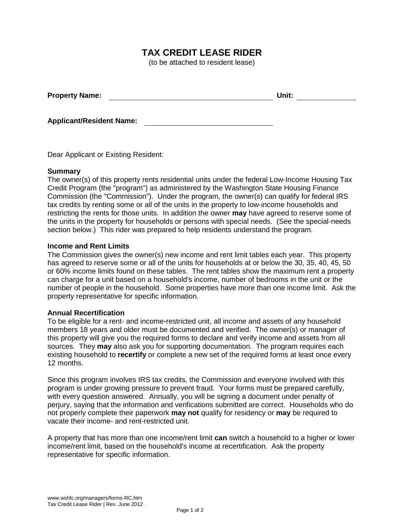# **TAX CREDIT LEASE RIDER**

(to be attached to resident lease)

| <b>Property Name:</b> | Unit: |  |
|-----------------------|-------|--|
|                       |       |  |

**Applicant/Resident Name:**

Dear Applicant or Existing Resident:

#### **Summary**

The owner(s) of this property rents residential units under the federal Low-Income Housing Tax Credit Program (the "program") as administered by the Washington State Housing Finance Commission (the "Commission"). Under the program, the owner(s) can qualify for federal IRS tax credits by renting some or all of the units in the property to low-income households and restricting the rents for those units. In addition the owner **may** have agreed to reserve some of the units in the property for households or persons with special needs. (See the special-needs section below.) This rider was prepared to help residents understand the program.

#### **Income and Rent Limits**

The Commission gives the owner(s) new income and rent limit tables each year. This property has agreed to reserve some or all of the units for households at or below the 30, 35, 40, 45, 50 or 60% income limits found on these tables. The rent tables show the maximum rent a property can charge for a unit based on a household's income, number of bedrooms in the unit or the number of people in the household. Some properties have more than one income limit. Ask the property representative for specific information.

### **Annual Recertification**

To be eligible for a rent- and income-restricted unit, all income and assets of any household members 18 years and older must be documented and verified. The owner(s) or manager of this property will give you the required forms to declare and verify income and assets from all sources. They **may** also ask you for supporting documentation. The program requires each existing household to **recertify** or complete a new set of the required forms at least once every 12 months.

Since this program involves IRS tax credits, the Commission and everyone involved with this program is under growing pressure to prevent fraud. Your forms must be prepared carefully, with every question answered. Annually, you will be signing a document under penalty of perjury, saying that the information and verifications submitted are correct. Households who do not properly complete their paperwork **may not** qualify for residency or **may** be required to vacate their income- and rent-restricted unit.

A property that has more than one income/rent limit **can** switch a household to a higher or lower income/rent limit, based on the household's income at recertification. Ask the property representative for specific information.